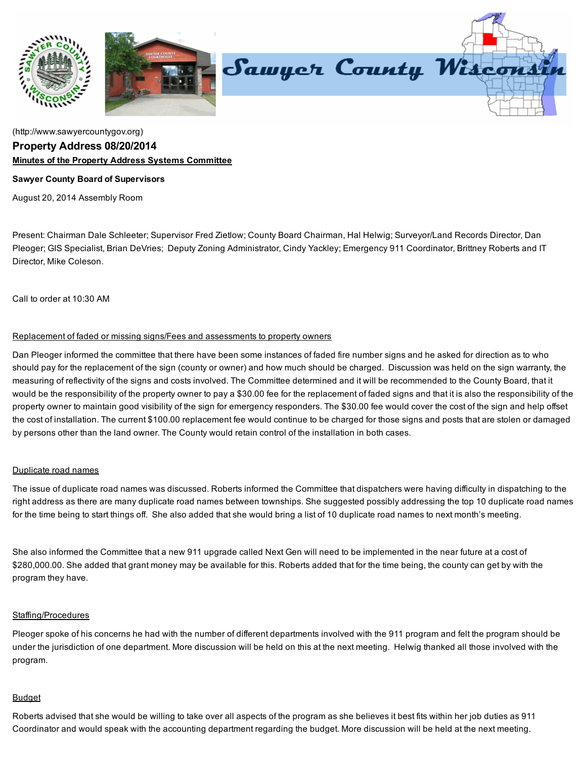

# [\(http://www.sawyercountygov.org\)](http://www.sawyercountygov.org/) Property Address 08/20/2014 Minutes of the Property Address Systems Committee

### Sawyer County Board of Supervisors

August 20, 2014 Assembly Room

Present: Chairman Dale Schleeter; Supervisor Fred Zietlow; County Board Chairman, Hal Helwig; Surveyor/Land Records Director, Dan Pleoger; GIS Specialist, Brian DeVries; Deputy Zoning Administrator, Cindy Yackley; Emergency 911 Coordinator, Brittney Roberts and IT Director, Mike Coleson.

Call to order at 10:30 AM

### Replacement of faded or missing signs/Fees and assessments to property owners

Dan Pleoger informed the committee that there have been some instances of faded fire number signs and he asked for direction as to who should pay for the replacement of the sign (county or owner) and how much should be charged. Discussion was held on the sign warranty, the measuring of reflectivity of the signs and costs involved. The Committee determined and it will be recommended to the County Board, that it would be the responsibility of the property owner to pay a \$30.00 fee for the replacement of faded signs and that it is also the responsibility of the property owner to maintain good visibility of the sign for emergency responders. The \$30.00 fee would cover the cost of the sign and help offset the cost of installation. The current \$100.00 replacement fee would continue to be charged for those signs and posts that are stolen or damaged by persons other than the land owner. The County would retain control of the installation in both cases.

# Duplicate road names

The issue of duplicate road names was discussed. Roberts informed the Committee that dispatchers were having difficulty in dispatching to the right address as there are many duplicate road names between townships. She suggested possibly addressing the top 10 duplicate road names for the time being to start things off. She also added that she would bring a list of 10 duplicate road names to next month's meeting.

She also informed the Committee that a new 911 upgrade called Next Gen will need to be implemented in the near future at a cost of \$280,000.00. She added that grant money may be available for this. Roberts added that for the time being, the county can get by with the program they have.

#### Staffing/Procedures

Pleoger spoke of his concerns he had with the number of different departments involved with the 911 program and felt the program should be under the jurisdiction of one department. More discussion will be held on this at the next meeting. Helwig thanked all those involved with the program.

# Budget

Roberts advised that she would be willing to take over all aspects of the program as she believes it best fits within her job duties as 911 Coordinator and would speak with the accounting department regarding the budget. More discussion will be held at the next meeting.